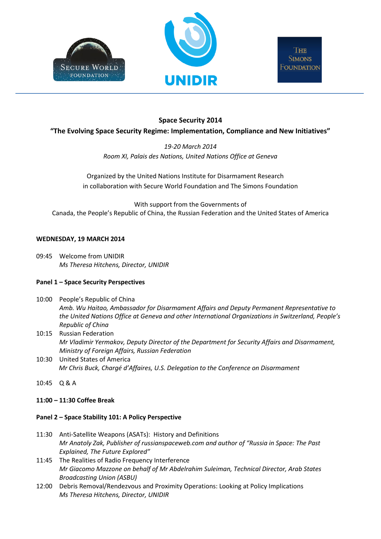



# **Space Security 2014**

# **"The Evolving Space Security Regime: Implementation, Compliance and New Initiatives"**

*19-20 March 2014 Room XI, Palais des Nations, United Nations Office at Geneva*

Organized by the United Nations Institute for Disarmament Research in collaboration with Secure World Foundation and The Simons Foundation

With support from the Governments of Canada, the People's Republic of China, the Russian Federation and the United States of America

## **WEDNESDAY, 19 MARCH 2014**

09:45 Welcome from UNIDIR *Ms Theresa Hitchens, Director, UNIDIR*

# **Panel 1 – Space Security Perspectives**

- 10:00 People's Republic of China *Amb. Wu Haitao, Ambassador for Disarmament Affairs and Deputy Permanent Representative to the United Nations Office at Geneva and other International Organizations in Switzerland, People's Republic of China*
- 10:15 Russian Federation *Mr Vladimir Yermakov, Deputy Director of the Department for Security Affairs and Disarmament, Ministry of Foreign Affairs, Russian Federation*
- 10:30 United States of America *Mr Chris Buck, Chargé d'Affaires, U.S. Delegation to the Conference on Disarmament*
- 10:45 Q & A

## **11:00 – 11:30 Coffee Break**

## **Panel 2 – Space Stability 101: A Policy Perspective**

- 11:30 Anti-Satellite Weapons (ASATs): History and Definitions *Mr Anatoly Zak, Publisher of russianspaceweb.com and author of "Russia in Space: The Past Explained, The Future Explored"*
- 11:45 The Realities of Radio Frequency Interference *Mr Giacomo Mazzone on behalf of Mr Abdelrahim Suleiman, Technical Director, Arab States Broadcasting Union (ASBU)*
- 12:00 Debris Removal/Rendezvous and Proximity Operations: Looking at Policy Implications *Ms Theresa Hitchens, Director, UNIDIR*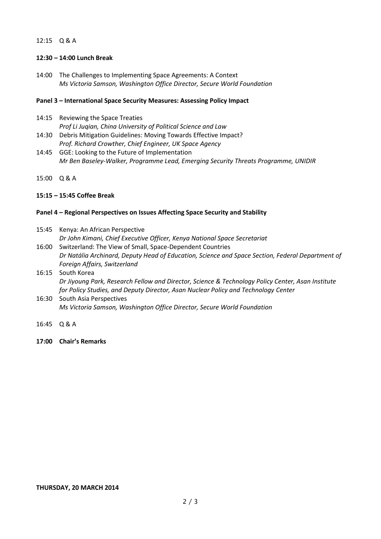# 12:15 Q & A

## **12:30 – 14:00 Lunch Break**

14:00 The Challenges to Implementing Space Agreements: A Context *Ms Victoria Samson, Washington Office Director, Secure World Foundation*

#### **Panel 3 – International Space Security Measures: Assessing Policy Impact**

- 14:15 Reviewing the Space Treaties *Prof Li Juqian, China University of Political Science and Law*
- 14:30 Debris Mitigation Guidelines: Moving Towards Effective Impact? *Prof. Richard Crowther, Chief Engineer, UK Space Agency*
- 14:45 GGE: Looking to the Future of Implementation *Mr Ben Baseley-Walker, Programme Lead, Emerging Security Threats Programme, UNIDIR*
- 15:00 Q & A

## **15:15 – 15:45 Coffee Break**

#### **Panel 4 – Regional Perspectives on Issues Affecting Space Security and Stability**

- 15:45 Kenya: An African Perspective *Dr John Kimani, Chief Executive Officer, Kenya National Space Secretariat*
- 16:00 Switzerland: The View of Small, Space-Dependent Countries *Dr Natália Archinard, Deputy Head of Education, Science and Space Section, Federal Department of Foreign Affairs, Switzerland*
- 16:15 South Korea *Dr Jiyoung Park, Research Fellow and Director, Science & Technology Policy Center, Asan Institute for Policy Studies, and Deputy Director, Asan Nuclear Policy and Technology Center*
- 16:30 South Asia Perspectives *Ms Victoria Samson, Washington Office Director, Secure World Foundation*
- 16:45 Q & A
- **17:00 Chair's Remarks**

#### **THURSDAY, 20 MARCH 2014**